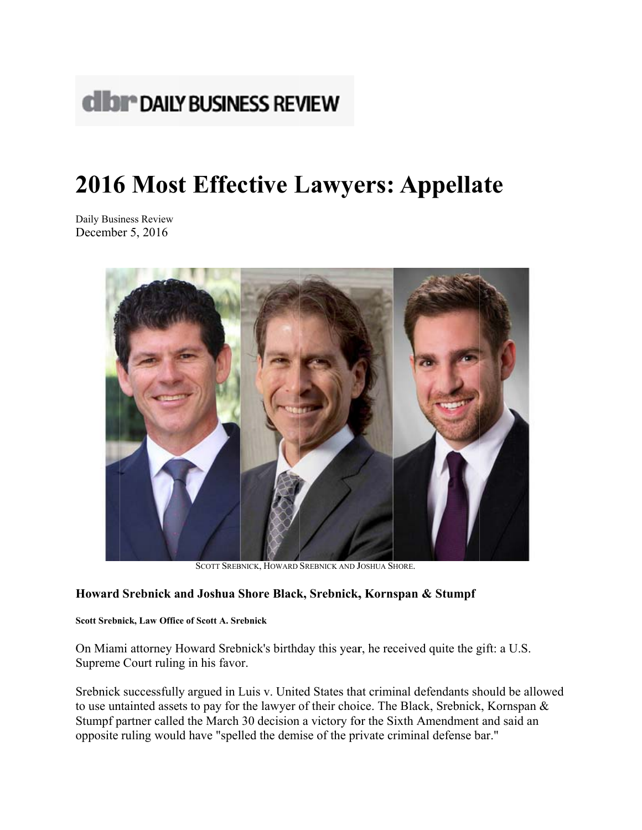

## 2016 Most Effective Lawyers: Appellate

Daily Business Review December 5, 2016



SCOTT SREBNICK, HOWARD SREBNICK AND JOSHUA SHORE.

## Howard Srebnick and Joshua Shore Black, Srebnick, Kornspan & Stumpf

## Scott Srebnick, Law Office of Scott A. Srebnick

On Miami attorney Howard Srebnick's birthday this year, he received quite the gift: a U.S. Supreme Court ruling in his favor.

Srebnick successfully argued in Luis v. United States that criminal defendants should be allowed to use untainted assets to pay for the lawyer of their choice. The Black, Srebnick, Kornspan & Stumpf partner called the March 30 decision a victory for the Sixth Amendment and said an opposite ruling would have "spelled the demise of the private criminal defense bar."